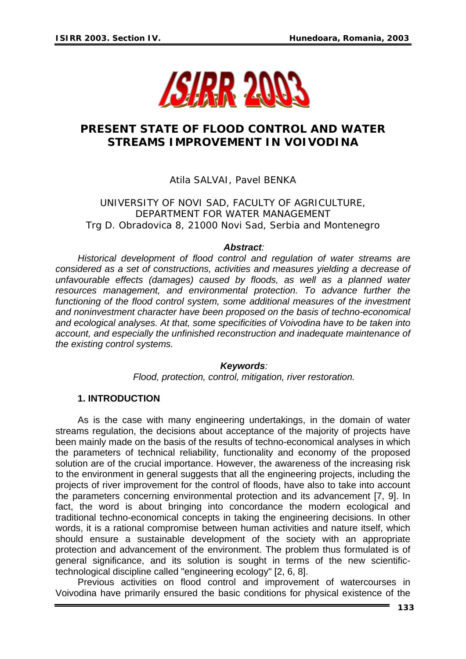

# **PRESENT STATE OF FLOOD CONTROL AND WATER STREAMS IMPROVEMENT IN VOIVODINA**

## Atila SALVAI, Pavel BENKA

UNIVERSITY OF NOVI SAD, FACULTY OF AGRICULTURE, DEPARTMENT FOR WATER MANAGEMENT Trg D. Obradovica 8, 21000 Novi Sad, Serbia and Montenegro

#### *Abstract:*

*Historical development of flood control and regulation of water streams are considered as a set of constructions, activities and measures yielding a decrease of unfavourable effects (damages) caused by floods, as well as a planned water resources management, and environmental protection. To advance further the*  functioning of the flood control system, some additional measures of the investment *and noninvestment character have been proposed on the basis of techno-economical and ecological analyses. At that, some specificities of Voivodina have to be taken into account, and especially the unfinished reconstruction and inadequate maintenance of the existing control systems.* 

#### *Keywords:*

*Flood, protection, control, mitigation, river restoration.* 

## **1. INTRODUCTION**

As is the case with many engineering undertakings, in the domain of water streams regulation, the decisions about acceptance of the majority of projects have been mainly made on the basis of the results of techno-economical analyses in which the parameters of technical reliability, functionality and economy of the proposed solution are of the crucial importance. However, the awareness of the increasing risk to the environment in general suggests that all the engineering projects, including the projects of river improvement for the control of floods, have also to take into account the parameters concerning environmental protection and its advancement [7, 9]. In fact, the word is about bringing into concordance the modern ecological and traditional techno-economical concepts in taking the engineering decisions. In other words, it is a rational compromise between human activities and nature itself, which should ensure a sustainable development of the society with an appropriate protection and advancement of the environment. The problem thus formulated is of general significance, and its solution is sought in terms of the new scientifictechnological discipline called "engineering ecology" [2, 6, 8].

Previous activities on flood control and improvement of watercourses in Voivodina have primarily ensured the basic conditions for physical existence of the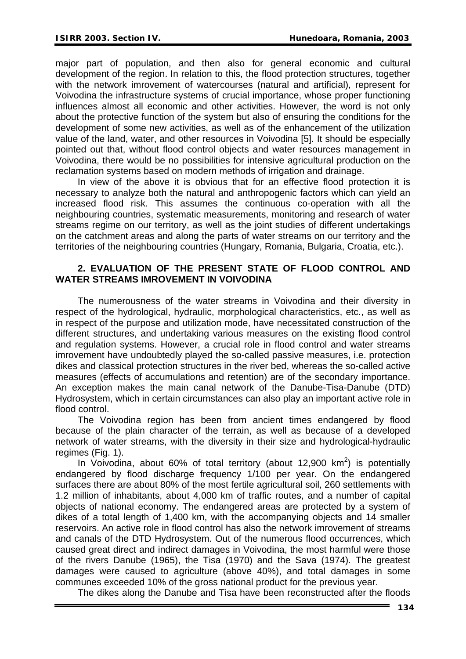major part of population, and then also for general economic and cultural development of the region. In relation to this, the flood protection structures, together with the network imrovement of watercourses (natural and artificial), represent for Voivodina the infrastructure systems of crucial importance, whose proper functioning influences almost all economic and other activities. However, the word is not only about the protective function of the system but also of ensuring the conditions for the development of some new activities, as well as of the enhancement of the utilization value of the land, water, and other resources in Voivodina [5]. It should be especially pointed out that, without flood control objects and water resources management in Voivodina, there would be no possibilities for intensive agricultural production on the reclamation systems based on modern methods of irrigation and drainage.

In view of the above it is obvious that for an effective flood protection it is necessary to analyze both the natural and anthropogenic factors which can yield an increased flood risk. This assumes the continuous co-operation with all the neighbouring countries, systematic measurements, monitoring and research of water streams regime on our territory, as well as the joint studies of different undertakings on the catchment areas and along the parts of water streams on our territory and the territories of the neighbouring countries (Hungary, Romania, Bulgaria, Croatia, etc.).

## **2. EVALUATION OF THE PRESENT STATE OF FLOOD CONTROL AND WATER STREAMS IMROVEMENT IN VOIVODINA**

The numerousness of the water streams in Voivodina and their diversity in respect of the hydrological, hydraulic, morphological characteristics, etc., as well as in respect of the purpose and utilization mode, have necessitated construction of the different structures, and undertaking various measures on the existing flood control and regulation systems. However, a crucial role in flood control and water streams imrovement have undoubtedly played the so-called passive measures, i.e. protection dikes and classical protection structures in the river bed, whereas the so-called active measures (effects of accumulations and retention) are of the secondary importance. An exception makes the main canal network of the Danube-Tisa-Danube (DTD) Hydrosystem, which in certain circumstances can also play an important active role in flood control.

The Voivodina region has been from ancient times endangered by flood because of the plain character of the terrain, as well as because of a developed network of water streams, with the diversity in their size and hydrological-hydraulic regimes (Fig. 1).

In Voivodina, about 60% of total territory (about 12,900  $km^2$ ) is potentially endangered by flood discharge frequency 1/100 per year. On the endangered surfaces there are about 80% of the most fertile agricultural soil, 260 settlements with 1.2 million of inhabitants, about 4,000 km of traffic routes, and a number of capital objects of national economy. The endangered areas are protected by a system of dikes of a total length of 1,400 km, with the accompanying objects and 14 smaller reservoirs. An active role in flood control has also the network imrovement of streams and canals of the DTD Hydrosystem. Out of the numerous flood occurrences, which caused great direct and indirect damages in Voivodina, the most harmful were those of the rivers Danube (1965), the Tisa (1970) and the Sava (1974). The greatest damages were caused to agriculture (above 40%), and total damages in some communes exceeded 10% of the gross national product for the previous year.

The dikes along the Danube and Tisa have been reconstructed after the floods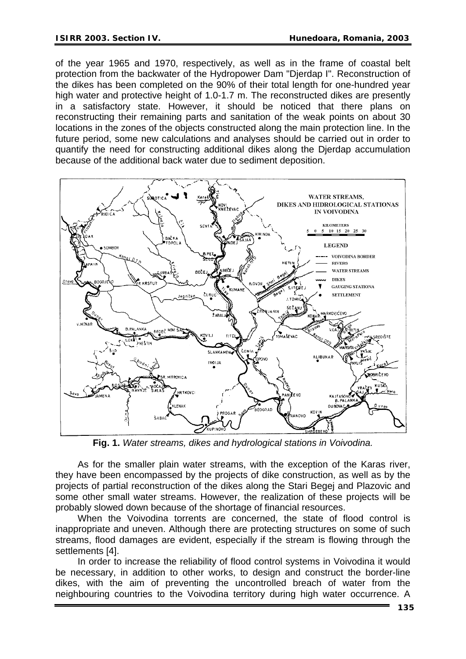of the year 1965 and 1970, respectively, as well as in the frame of coastal belt protection from the backwater of the Hydropower Dam "Djerdap I". Reconstruction of the dikes has been completed on the 90% of their total length for one-hundred year high water and protective height of 1.0-1.7 m. The reconstructed dikes are presently in a satisfactory state. However, it should be noticed that there plans on reconstructing their remaining parts and sanitation of the weak points on about 30 locations in the zones of the objects constructed along the main protection line. In the future period, some new calculations and analyses should be carried out in order to quantify the need for constructing additional dikes along the Djerdap accumulation because of the additional back water due to sediment deposition.



**Fig. 1.** *Water streams, dikes and hydrological stations in Voivodina.* 

As for the smaller plain water streams, with the exception of the Karas river, they have been encompassed by the projects of dike construction, as well as by the projects of partial reconstruction of the dikes along the Stari Begej and Plazovic and some other small water streams. However, the realization of these projects will be probably slowed down because of the shortage of financial resources.

When the Voivodina torrents are concerned, the state of flood control is inappropriate and uneven. Although there are protecting structures on some of such streams, flood damages are evident, especially if the stream is flowing through the settlements [4].

In order to increase the reliability of flood control systems in Voivodina it would be necessary, in addition to other works, to design and construct the border-line dikes, with the aim of preventing the uncontrolled breach of water from the neighbouring countries to the Voivodina territory during high water occurrence. A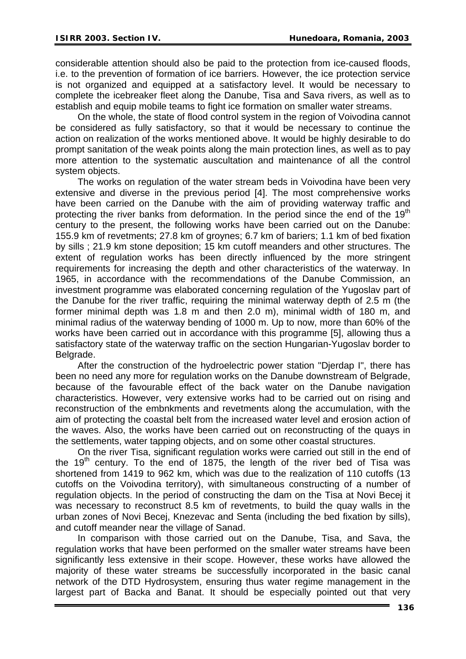considerable attention should also be paid to the protection from ice-caused floods, i.e. to the prevention of formation of ice barriers. However, the ice protection service is not organized and equipped at a satisfactory level. It would be necessary to complete the icebreaker fleet along the Danube, Tisa and Sava rivers, as well as to establish and equip mobile teams to fight ice formation on smaller water streams.

On the whole, the state of flood control system in the region of Voivodina cannot be considered as fully satisfactory, so that it would be necessary to continue the action on realization of the works mentioned above. It would be highly desirable to do prompt sanitation of the weak points along the main protection lines, as well as to pay more attention to the systematic auscultation and maintenance of all the control system objects.

The works on regulation of the water stream beds in Voivodina have been very extensive and diverse in the previous period [4]. The most comprehensive works have been carried on the Danube with the aim of providing waterway traffic and protecting the river banks from deformation. In the period since the end of the 19<sup>th</sup> century to the present, the following works have been carried out on the Danube: 155.9 km of revetments; 27.8 km of groynes; 6.7 km of bariers; 1.1 km of bed fixation by sills ; 21.9 km stone deposition; 15 km cutoff meanders and other structures. The extent of regulation works has been directly influenced by the more stringent requirements for increasing the depth and other characteristics of the waterway. In 1965, in accordance with the recommendations of the Danube Commission, an investment programme was elaborated concerning regulation of the Yugoslav part of the Danube for the river traffic, requiring the minimal waterway depth of 2.5 m (the former minimal depth was 1.8 m and then 2.0 m), minimal width of 180 m, and minimal radius of the waterway bending of 1000 m. Up to now, more than 60% of the works have been carried out in accordance with this programme [5], allowing thus a satisfactory state of the waterway traffic on the section Hungarian-Yugoslav border to Belgrade.

After the construction of the hydroelectric power station "Djerdap I", there has been no need any more for regulation works on the Danube downstream of Belgrade, because of the favourable effect of the back water on the Danube navigation characteristics. However, very extensive works had to be carried out on rising and reconstruction of the embnkments and revetments along the accumulation, with the aim of protecting the coastal belt from the increased water level and erosion action of the waves. Also, the works have been carried out on reconstructing of the quays in the settlements, water tapping objects, and on some other coastal structures.

On the river Tisa, significant regulation works were carried out still in the end of the  $19<sup>th</sup>$  century. To the end of 1875, the length of the river bed of Tisa was shortened from 1419 to 962 km, which was due to the realization of 110 cutoffs (13 cutoffs on the Voivodina territory), with simultaneous constructing of a number of regulation objects. In the period of constructing the dam on the Tisa at Novi Becej it was necessary to reconstruct 8.5 km of revetments, to build the quay walls in the urban zones of Novi Becej, Knezevac and Senta (including the bed fixation by sills), and cutoff meander near the village of Sanad.

In comparison with those carried out on the Danube, Tisa, and Sava, the regulation works that have been performed on the smaller water streams have been significantly less extensive in their scope. However, these works have allowed the majority of these water streams be successfully incorporated in the basic canal network of the DTD Hydrosystem, ensuring thus water regime management in the largest part of Backa and Banat. It should be especially pointed out that very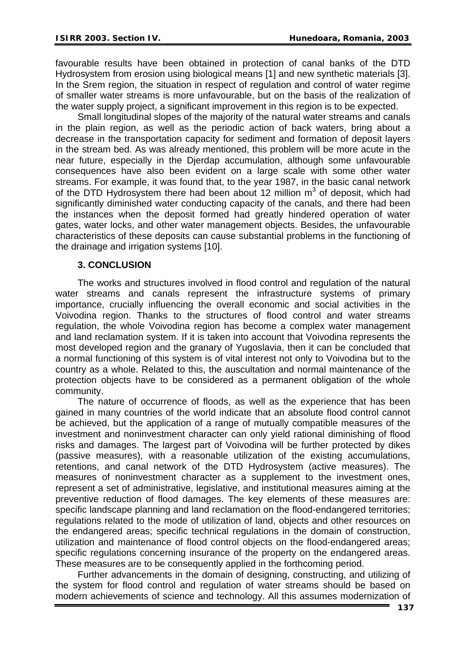favourable results have been obtained in protection of canal banks of the DTD Hydrosystem from erosion using biological means [1] and new synthetic materials [3]. In the Srem region, the situation in respect of regulation and control of water regime of smaller water streams is more unfavourable, but on the basis of the realization of the water supply project, a significant improvement in this region is to be expected.

Small longitudinal slopes of the majority of the natural water streams and canals in the plain region, as well as the periodic action of back waters, bring about a decrease in the transportation capacity for sediment and formation of deposit layers in the stream bed. As was already mentioned, this problem will be more acute in the near future, especially in the Djerdap accumulation, although some unfavourable consequences have also been evident on a large scale with some other water streams. For example, it was found that, to the year 1987, in the basic canal network of the DTD Hydrosystem there had been about 12 million  $m<sup>3</sup>$  of deposit, which had significantly diminished water conducting capacity of the canals, and there had been the instances when the deposit formed had greatly hindered operation of water gates, water locks, and other water management objects. Besides, the unfavourable characteristics of these deposits can cause substantial problems in the functioning of the drainage and irrigation systems [10].

## **3. CONCLUSION**

The works and structures involved in flood control and regulation of the natural water streams and canals represent the infrastructure systems of primary importance, crucially influencing the overall economic and social activities in the Voivodina region. Thanks to the structures of flood control and water streams regulation, the whole Voivodina region has become a complex water management and land reclamation system. If it is taken into account that Voivodina represents the most developed region and the granary of Yugoslavia, then it can be concluded that a normal functioning of this system is of vital interest not only to Voivodina but to the country as a whole. Related to this, the auscultation and normal maintenance of the protection objects have to be considered as a permanent obligation of the whole community.

The nature of occurrence of floods, as well as the experience that has been gained in many countries of the world indicate that an absolute flood control cannot be achieved, but the application of a range of mutually compatible measures of the investment and noninvestment character can only yield rational diminishing of flood risks and damages. The largest part of Voivodina will be further protected by dikes (passive measures), with a reasonable utilization of the existing accumulations, retentions, and canal network of the DTD Hydrosystem (active measures). The measures of noninvestment character as a supplement to the investment ones, represent a set of administrative, legislative, and institutional measures aiming at the preventive reduction of flood damages. The key elements of these measures are: specific landscape planning and land reclamation on the flood-endangered territories; regulations related to the mode of utilization of land, objects and other resources on the endangered areas; specific technical regulations in the domain of construction, utilization and maintenance of flood control objects on the flood-endangered areas; specific regulations concerning insurance of the property on the endangered areas. These measures are to be consequently applied in the forthcoming period.

Further advancements in the domain of designing, constructing, and utilizing of the system for flood control and regulation of water streams should be based on modern achievements of science and technology. All this assumes modernization of